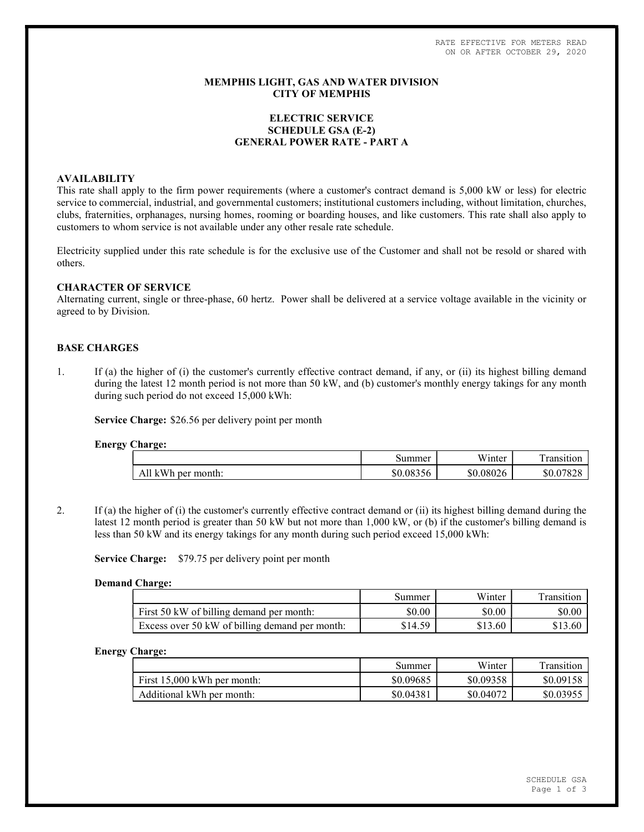RATE EFFECTIVE FOR METERS READ ON OR AFTER OCTOBER 29, 2020

## MEMPHIS LIGHT, GAS AND WATER DIVISION CITY OF MEMPHIS

# ELECTRIC SERVICE SCHEDULE GSA (E-2) GENERAL POWER RATE - PART A

## AVAILABILITY

This rate shall apply to the firm power requirements (where a customer's contract demand is 5,000 kW or less) for electric service to commercial, industrial, and governmental customers; institutional customers including, without limitation, churches, clubs, fraternities, orphanages, nursing homes, rooming or boarding houses, and like customers. This rate shall also apply to customers to whom service is not available under any other resale rate schedule.

Electricity supplied under this rate schedule is for the exclusive use of the Customer and shall not be resold or shared with others.

## CHARACTER OF SERVICE

Alternating current, single or three-phase, 60 hertz. Power shall be delivered at a service voltage available in the vicinity or agreed to by Division.

## BASE CHARGES

1. If (a) the higher of (i) the customer's currently effective contract demand, if any, or (ii) its highest billing demand during the latest 12 month period is not more than 50 kW, and (b) customer's monthly energy takings for any month during such period do not exceed 15,000 kWh:

Service Charge: \$26.56 per delivery point per month

### Energy Charge:

|                             | summer           | T T T<br>/inter<br>w | -<br>ransitio. |
|-----------------------------|------------------|----------------------|----------------|
| month:<br>$-10$<br>ner<br>v | \$0.0835<br>10 i | \$0.08026            | \$0.07<br>'ŏ∠č |

2. If (a) the higher of (i) the customer's currently effective contract demand or (ii) its highest billing demand during the latest 12 month period is greater than 50 kW but not more than 1,000 kW, or (b) if the customer's billing demand is less than 50 kW and its energy takings for any month during such period exceed 15,000 kWh:

Service Charge: \$79.75 per delivery point per month

#### Demand Charge:

|                                                | Summer  | Winter  | ransition |
|------------------------------------------------|---------|---------|-----------|
| First 50 kW of billing demand per month:       | \$0.00  | \$0.00  | \$0.00    |
| Excess over 50 kW of billing demand per month: | \$14.59 | \$13.60 | \$13.60   |

## Energy Charge:

|                               | Summer    | Winter    | Transition |
|-------------------------------|-----------|-----------|------------|
| First $15,000$ kWh per month: | \$0.09685 | \$0.09358 | \$0.09158  |
| Additional kWh per month:     | \$0.04381 | \$0.04072 | \$0.03955  |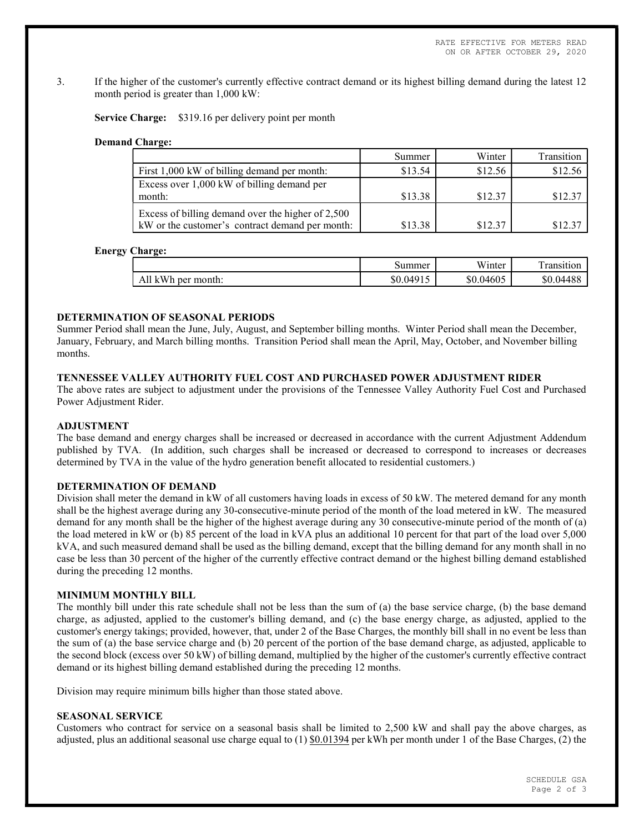RATE EFFECTIVE FOR METERS READ ON OR AFTER OCTOBER 29, 2020

3. If the higher of the customer's currently effective contract demand or its highest billing demand during the latest 12 month period is greater than 1,000 kW:

Service Charge: \$319.16 per delivery point per month

### Demand Charge:

|                                                   | Summer  | Winter  | Transition |
|---------------------------------------------------|---------|---------|------------|
| First 1,000 kW of billing demand per month:       | \$13.54 | \$12.56 | \$12.56    |
| Excess over 1,000 kW of billing demand per        |         |         |            |
| month:                                            | \$13.38 | \$12.37 | \$12.37    |
| Excess of billing demand over the higher of 2,500 |         |         |            |
| kW or the customer's contract demand per month:   | \$13.38 | \$12.37 | \$12.37    |

#### Energy Charge:

|                        | summer                | <b>TTT</b> *<br>W <sub>inter</sub> | --<br>ransition |
|------------------------|-----------------------|------------------------------------|-----------------|
| kWh<br>per<br>month: ' | $0.0491$ <sup>-</sup> | \$0.04605                          | \$0.04488       |

# DETERMINATION OF SEASONAL PERIODS

Summer Period shall mean the June, July, August, and September billing months. Winter Period shall mean the December, January, February, and March billing months. Transition Period shall mean the April, May, October, and November billing months.

# TENNESSEE VALLEY AUTHORITY FUEL COST AND PURCHASED POWER ADJUSTMENT RIDER

The above rates are subject to adjustment under the provisions of the Tennessee Valley Authority Fuel Cost and Purchased Power Adjustment Rider.

### ADJUSTMENT

The base demand and energy charges shall be increased or decreased in accordance with the current Adjustment Addendum published by TVA. (In addition, such charges shall be increased or decreased to correspond to increases or decreases determined by TVA in the value of the hydro generation benefit allocated to residential customers.)

## DETERMINATION OF DEMAND

Division shall meter the demand in kW of all customers having loads in excess of 50 kW. The metered demand for any month shall be the highest average during any 30-consecutive-minute period of the month of the load metered in kW. The measured demand for any month shall be the higher of the highest average during any 30 consecutive-minute period of the month of (a) the load metered in kW or (b) 85 percent of the load in kVA plus an additional 10 percent for that part of the load over 5,000 kVA, and such measured demand shall be used as the billing demand, except that the billing demand for any month shall in no case be less than 30 percent of the higher of the currently effective contract demand or the highest billing demand established during the preceding 12 months.

### MINIMUM MONTHLY BILL

The monthly bill under this rate schedule shall not be less than the sum of (a) the base service charge, (b) the base demand charge, as adjusted, applied to the customer's billing demand, and (c) the base energy charge, as adjusted, applied to the customer's energy takings; provided, however, that, under 2 of the Base Charges, the monthly bill shall in no event be less than the sum of (a) the base service charge and (b) 20 percent of the portion of the base demand charge, as adjusted, applicable to the second block (excess over 50 kW) of billing demand, multiplied by the higher of the customer's currently effective contract demand or its highest billing demand established during the preceding 12 months.

Division may require minimum bills higher than those stated above.

## SEASONAL SERVICE

Customers who contract for service on a seasonal basis shall be limited to 2,500 kW and shall pay the above charges, as adjusted, plus an additional seasonal use charge equal to  $(1)$  \$0.01394 per kWh per month under 1 of the Base Charges,  $(2)$  the